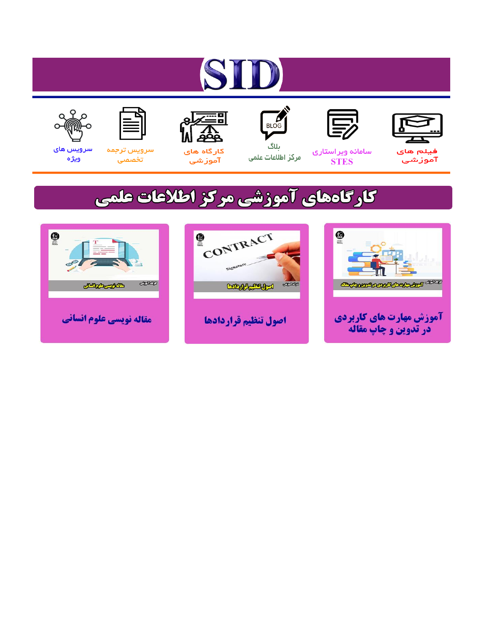# ST











ىلاگ



مرکز اطلاعات علمی

 $\frac{1}{\sqrt{\frac{1}{100}}}$ 

Cologie Legislation

کارگاه های آموزشي

空

ققق

 $\begin{matrix} \textcircled{\footnotesize{A}}\\ \textcircled{\footnotesize{B}} \end{matrix}$ 

سرويس ترجمه تخصصى



سرویس های ويژه

كارگاههای آموزشی مركز اطلاعات علمی

CONTRACT

اصول تنظيم قراردادها



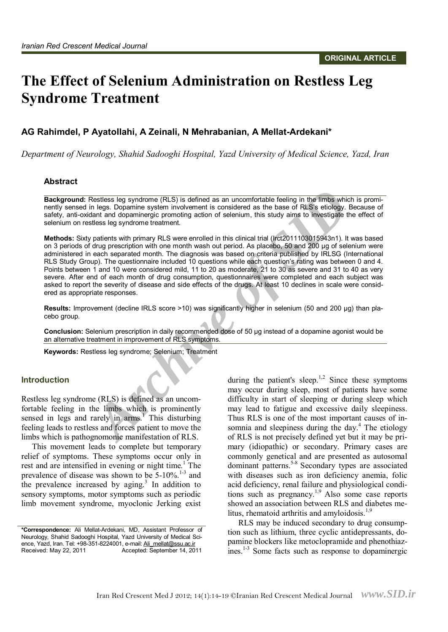## The Effect of Selenium Administration on Restless Leg **Syndrome Treatment**

#### AG Rahimdel, P Ayatollahi, A Zeinali, N Mehrabanian, A Mellat-Ardekani\*

Department of Neurology, Shahid Sadooghi Hospital, Yazd University of Medical Science, Yazd, Iran

#### **A b s t ract**

**Background:** Restless leg syndrome (RLS) is defined as an uncomfortable feeling in the limbs which is prominently sensed in legs. Dopamine system involvement is considered as the base of RLS's etiology. Because of safety, anti-oxidant and dopaminergic promoting action of selenium, this study aims to investigate the effect of se

**Exactless leg syndrome (RLS) is defined as an uncomfortable feeling in the limbs whin legs. Dopamine system involvement is considered as the base of RLS's etiology.<br>
Archive of SID and dopaminergic promoting action of sel Methods:** Sixty patients with primary RLS were enrolled in this clinical trial (Irct2011103015943n1). It was based on 3 periods of drug prescription with one month wash out period. As placebo, 50 and 200 µg of selenium were administered in each separated month. The diagnosis was based on criteria published by IRLSG (International RLS Study Group). The questionnaire included 10 questions while each question's rating was between 0 and 4. Points between 1 and 10 were considered mild, 11 to 20 as moderate, 21 to 30 as severe and 31 to 40 as very severe. After end of each month of drug consumption, questionnaires were completed and each subject was asked to report the severity of disease and side effects of the drugs. At least 10 declines in scale were considered as appropriate responses.

**Results:** Improvement (decline IRLS score >10) was significantly higher in selenium (50 and 200 µg) than pla cebo group.

**Conclusion:** Selenium prescription in daily recommended dose of 50 µg instead of a dopamine agonist would be an alternative treatment in improvement of RLS symptoms.

**Keywords: Restless leg syndrome; Selenium; Treatment** 

#### **lntroduction**

Restless leg syndrome (RLS) is defined as an uncom-

fortable feeling in the limbs which is prominently<br>sensed in legs and rarely in arms.<sup>1</sup> This disturbing<br>feeling leads to restless and forces patient to move the<br>limbs which is pathognomonic manifestation of RLS.<br>This mov

during the patient's sleep.<sup>1,2</sup> Since these symptoms may occur during sleep, most of patients have some difficulty in start of sleeping or during sleep which may lead to fatigue and excessive daily sleepiness. Thus RLS is one of the most important causes of insomnia and sleepiness during the day.<sup>4</sup> The etiology of RLS is not precisely defined yet but it may be primary (idiopathic) or secondary. Primary cases are commonly genetical and are presented as autosomal dominant patterns.<sup>5-8</sup> Secondary types are associated with diseases such as iron deficiency anemia, folic acid deficiency, renal failure and physiological conditions such as pregnancy.1,9 Also some case reports showed an association between RLS and diabetes melitus, rhematoid arthritis and amyloidosis.<sup>1,9</sup>

RLS may be induced secondary to drug consump tion such as lithium, three cyclic antidepressants, do pamine blockers like metoclopramide and phenothiaz ines.<sup>1-3</sup> Some facts such as response to dopaminergic

<sup>\*</sup>Correspondence: Ali Mellat-Ardekani, MD, Assistant Professor of Neurology, Shahid Sadooghi Hospital, Yazd University of Medical Sci-ence, Yazd, Iran. Tel: +98-351-8224001, e-mail: [Ali\\_mellat@ssu.ac.ir](mailto:Ali_mellat@ssu.ac.ir) Received: May 22, 2011 Accepted: September 14, 2011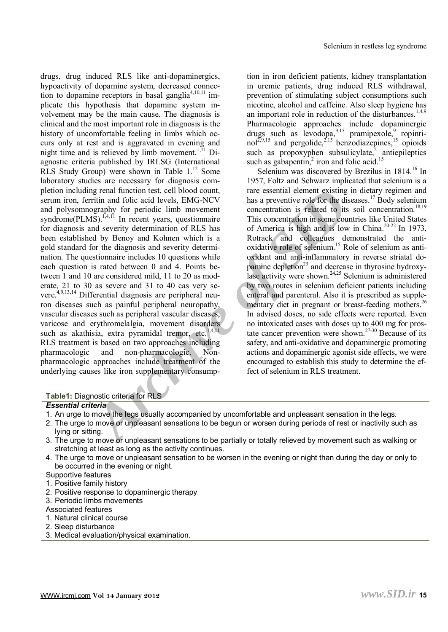Selenium is<br>
dependent RIS like anti-dopaminergies,<br>
ition in iron deficient patients, kid<br>
dependence system, decreased connect-<br>
in uremic patients, drug induce<br>
core problems is beat gamples<sup>14741</sup> in prevorition of sim drugs, drug induced RLS like anti-dopaminergics, hypoactivity of dopamine system, decreased connection to dopamine receptors in basal ganglia<sup>4,10,11</sup> implicate this hypothesis that dopamine system involvement may be the main cause. The diagnosis is clinical and the most important role in diagnosis is the history of uncomfortable feeling in limbs which oc curs only at rest and is aggravated in evening and night time and is relieved by limb movement.<sup>1,11</sup> Diagnostic criteria published by IRLSG (International RLS Study Group) were shown in Table  $1.^{12}$  Some laboratory studies are necessary for diagnosis completion including renal function test, cell blood count,<br>serum iron, ferritin and folic acid levels, EMG-NCV<br>and polysomnography for periodic limb movement<br>syndrome(PLMS).<sup>1,4,11</sup> In recent years, questionnaire<br>for diagnos gold standard for the diagnosis and severity determination. The questionnaire includes <sup>10</sup> questions while each question is rated between <sup>0</sup> and 4. Points be tween 1 and 10 are considered mild, 11 to 20 as mod erate, 21 to 30 as severe and 31 to 40 cas very se vere.4,9,13,14 Differential diagnosis are peripheral neu ron diseases such as painful peripheral neuropathy, vascular diseases, varicose and erythromelalgia, movement disorders such as akathisia, extra pyramidal tremor, etc.<sup>1,4,11</sup> RLS treatment is based on two approaches including pharmacologic and non-pharmacologic. Nonpharmacologic approaches include treatment of the underlying causes like iron supplementary consump-

tion in iron deficient patients, kidney transplantation in uremic patients, drug induced RLS withdrawal, prevention of stimulating subject consumptions such nicotine, alcohol and caffeine. Also sleep hygiene has an important role in reduction of the disturbances.<sup>1,4,9</sup> Pharmacologic approaches include dopaminergic drugs such as levodopa,<sup>9,15</sup> pramipexole,<sup>9</sup> ropinrinol<sup>2,9,15</sup> and pergolide,<sup>2,15</sup> benzodiazepines,<sup>15</sup> opioids such as propoxyphen subsulicylate,<sup>2</sup> antiepileptics such as gabapentin,<sup>2</sup> iron and folic acid.<sup>15</sup>

Selenium was discovered by Brezilus in 1814.<sup>16</sup> In 1957, Foltz and Schwarz implicated that selenium is a rare essential element existing in dietary regimen and has a preventive role for the diseases.<sup>17</sup> Body selenium co This concentration in some countries like United States of America is high and is low in China.<sup>20-22</sup> In 1973, Rotrack and colleagues demonstrated the antioxidative role of selenium.<sup>15</sup> Role of selenium as anti oxidant and anti-inflammatory in reverse striatal do pamine depletion $^{23}$  and decrease in thyrosine hydroxylase activity were shown.<sup>24,25</sup> Selenium is administered by two routes in selenium deficient patients including enteral and parenteral. Also it is prescribed as supplementary diet in pregnant or breast-feeding mothers.<sup>26</sup> In advised doses, no side effects were reported. Even no intoxicated cases with doses up to 400 mg for prostate cancer prevention were shown.<sup>27-30</sup> Because of its safety, and anti-oxidative and dopaminergic promoting actions and dopaminergic agonist side effects, we were encouraged to establish this study to determine the effect of selenium in RLS treatment.

#### **Table1:** Diagnostic criteria for RLS

#### *Essential criteria*

- 1. An urge to move the legs usually accompanied by uncomfortable and unpleasant sensation in the legs.
- 2. The urge to move or unpleasant sensations to be begun or worsen during periods of rest or inactivity such as<br>lying or sitting.
- 3. The urge to move or unpleasant sensations to be partially or totally relieved by movement such as walking or stretching at least as long as the activity continues.
- 4. The urge to move or unpleasant sensation to be worsen in the evening or night than during the day or only to be occurred in the evening or night.
- Supportive features
- 1. Positive family history
- 2. Positive response to dopaminergic therapy
- 3. Periodic limbs movements
- Associated features
- 1. Natural clinical course
- 2. Sleep disturbance
- 3. Medical evaluation/physical examination.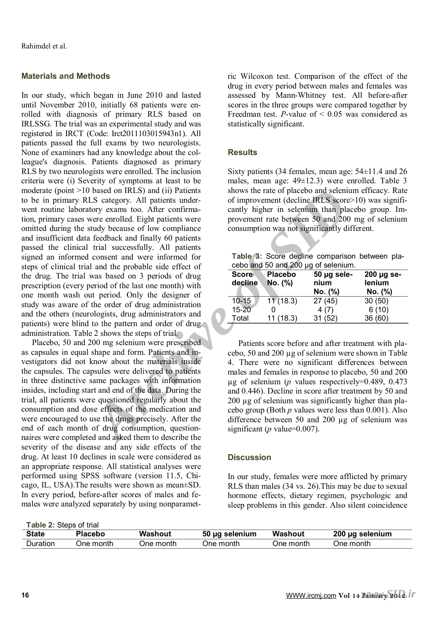### **Materials and Methods**

based on IRLS) and (ii) Patients<br>
Sows the rate of placebo and seleni<br> *Archive systems* of the prior of improvement (decline RES scores<br>
or exams too. After confirma-<br>
cantly higher in selemitim than place<br>
the concent an In our study, which began in June 2010 and lasted until November 2010, initially 68 patients were enrolled with diagnosis of primary RLS based on IRLSSG. The trial was an experimental study and was registered in IRCT (Code: Irct2011103015943n1). All patients passed the full exams by two neurologists. None of examiners ha league's diagnosis. Patients diagnosed as primary RLS by two neurologists were enrolled. The inclusion criteria were (i) Severity of symptoms at least to be moderate (point >10 based on IRLS) and (ii) Patients to be in pri went routine laboratory exams too. After confirma tion, primary cases were enrolled. Eight patients were<br>omitted during the study because of low compliance<br>and insufficient data feedback and finally 60 patients<br>passed the clinical trial successfully. All patients<br>signed a one month wash out period. Only the designer of study was aware of the order of drug administration and the others (neurologists, drug administrators and patients) were blind to the pattern and order of drug administration. Table 2 shows the steps of trial.

Placebo, 50 and 200 mg selenium were prescribed as capsules in equal shape and form. Patients and investigators did not know about the materials inside<br>the capsules. The capsules were delivered to patients<br>in three distinctive same packages with information<br>insides, including start and end of the data. During the<br>trial, naires were completed and asked them to describe the<br>severity of the disease and any side effects of the<br>drug. At least 10 declines in scale were considered as<br>an appropriate response. All statistical analyses were<br>perform cago, IL, USA).The results were shown as mean±SD. In every period, before-after scores of males and fe males were analyzed separately by using nonparametric Wilcoxon test. Comparison of the effect of the drug in every period between males and females was assessed by Mann-Whitney test. All before-after scores in the three groups were compared together by Freedman test. *P*-value of  $\leq 0.05$  was considered as statistically significant.

### **Results**

Sixty patients (34 females, mean age:  $54\pm11.4$  and 26 males, mean age:  $49\pm12.3$ ) were enrolled. Table 3 shows the rate of placebo and selenium efficacy. Rate of improvement (decline IRLS score>10) was significantly higher in selenium than placebo group. Im provement rate between <sup>50</sup> and <sup>200</sup> mg of selenium consumption was not significantly different.

**Table 3:** Score decline comparison between pla cebo and 50 and 200 µg of selenium.

| <b>Score</b><br>decline | <b>Placebo</b><br>No. (%) | 50 µg sele-<br>nium<br>No. (%) | $200 \mu g$ se-<br>lenium<br>No. (%) |
|-------------------------|---------------------------|--------------------------------|--------------------------------------|
| $10 - 15$               | 11(18.3)                  | 27(45)                         | 30(50)                               |
| $15 - 20$               |                           | 4(7)                           | 6(10)                                |
| Total                   | 11(18.3)                  | 31(52)                         | 36 (60)                              |

Patients score before and after treatment with placebo, 50 and 200  $\mu$ g of selenium were shown in Table 4. There were no significant differences between males and females in response to placebo, 50 and 200  $\mu$ g of selenium (*p* values respectively=0.489, 0.473 and 0.44 200 µg of selenium was significantly higher than placebo group (Both *p* values were less than 0.001). Also difference between <sup>50</sup> and <sup>200</sup> µg of selenium was significant (*p* value=0.007).

#### **Discussion**

In our study, females were more afflicted by primary RLS than males (34 vs. 26).This may be due to sexual hormone effects, dietary regimen, psychologic and sleep problems in this gender. Also silent coincidence

**Table 2: Steps of trial** 

| $\sim$ 1 $\sim$ 10 $\sim$ 10 $\sim$ 10 $\sim$ 10 $\sim$ 10 |                |           |                |           |                 |  |  |
|------------------------------------------------------------|----------------|-----------|----------------|-----------|-----------------|--|--|
| <b>State</b>                                               | <b>Placebo</b> | Washout   | 50 µg selenium | Washout   | 200 µg selenium |  |  |
| Duration                                                   | One month      | One month | One month      | One month | One month       |  |  |
|                                                            |                |           |                |           |                 |  |  |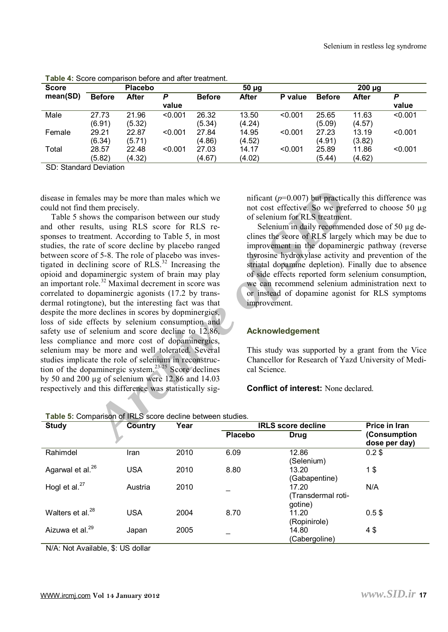| <b>Score</b> |               | <b>Placebo</b> |         |               | $50 \mu g$   |         |               | $200 \mu g$ |         |
|--------------|---------------|----------------|---------|---------------|--------------|---------|---------------|-------------|---------|
| mean(SD)     | <b>Before</b> | After          | P       | <b>Before</b> | <b>After</b> | P value | <b>Before</b> | After       | P       |
|              |               |                | value   |               |              |         |               |             | value   |
| Male         | 27.73         | 21.96          | < 0.001 | 26.32         | 13.50        | < 0.001 | 25.65         | 11.63       | < 0.001 |
|              | (6.91)        | (5.32)         |         | (5.34)        | (4.24)       |         | (5.09)        | (4.57)      |         |
| Female       | 29.21         | 22.87          | < 0.001 | 27.84         | 14.95        | < 0.001 | 27.23         | 13.19       | < 0.001 |
|              | (6.34)        | (5.71)         |         | (4.86)        | (4.52)       |         | (4.91)        | (3.82)      |         |
| Total        | 28.57         | 22.48          | < 0.001 | 27.03         | 14.17        | < 0.001 | 25.89         | 11.86       | < 0.001 |
|              | (5.82)        | (4.32)         |         | (4.67)        | (4.02)       |         | (5.44)        | (4.62)      |         |

**Table 4:** Score comparison before and after treatment.

SD: Standard Deviation

disease in females may be more than males which we could not find them precisely.

Selenium in Selenium in Selenium in Selenium in Selenium in Selenium in Selenium in Selenium in Selenium in Selenium in Selenium in Selenium in Selenium in Selenium in Selenium in Selenium in Selenium in Selenium in Selen Table 5 shows the comparison between our study and other results, using RLS score for RLS responses to treatment. According to Table 5, in most studies, the rate of score decline by placebo ranged between score of 5-8. The role of placebo was inves-<br>tigated in declining score of RLS.<sup>32</sup> Increasing the opioid and dopaminergic system of brain may play an important role.<sup>32</sup> Maximal decrement in score was correlated to dopaminergic agonists (17.2 by transdermal rotingtone), but the interesting fact was that<br>despite the more declines in scores by dopminergics,<br>loss of side effects by selenium consumption and<br>safety use of selenium and score decline to 12.86,<br>less compliance tion of the dopaminergic system.<sup>23-25</sup> Score declines by 50 and 200  $\mu$ g of selenium were 12.86 and 14.03 respectively and this difference was statistically sig-

nificant ( $p=0.007$ ) but practically this difference was not cost effective. So we preferred to choose 50  $\mu$ g of selenium for RLS treatment.

Selenium in daily recommended dose of 50 µg declines the seore of RLS largely which may be due to<br>improvement in the dopaminergic pathway (reverse<br>thyrosine hydroxylase activity and prevention of the<br>striatal dopamine depletion). Finally due to absence<br>of side effects

### **Acknowledgement**

This study was supported by <sup>a</sup> grant from the Vice Chancellor for Research of Yazd University of Medi cal Science.

#### **Conflict of interest:** None declared.

| Table 5: Comparison of IRLS score decline between studies. |  |
|------------------------------------------------------------|--|
|------------------------------------------------------------|--|

| <b>Study</b>                 | <b>Country</b> | Year | <b>IRLS score decline</b> |                                       | Price in Iran                 |  |
|------------------------------|----------------|------|---------------------------|---------------------------------------|-------------------------------|--|
|                              |                |      | Placebo                   | Drug                                  | (Consumption<br>dose per day) |  |
| Rahimdel                     | Iran           | 2010 | 6.09                      | 12.86<br>(Selenium)                   | $0.2$ \$                      |  |
| Agarwal et al. <sup>26</sup> | <b>USA</b>     | 2010 | 8.80                      | 13.20<br>(Gabapentine)                | 1\$                           |  |
| Hogl et al. $^{27}$          | Austria        | 2010 |                           | 17.20<br>Transdermal roti-<br>gotine) | N/A                           |  |
| Walters et al. <sup>28</sup> | <b>USA</b>     | 2004 | 8.70                      | 11.20<br>(Ropinirole)                 | $0.5$ \$                      |  |
| Aizuwa et al. <sup>29</sup>  | Japan          | 2005 |                           | 14.80<br>(Cabergoline)                | 4\$                           |  |

N/A: Not Available, \$: US dollar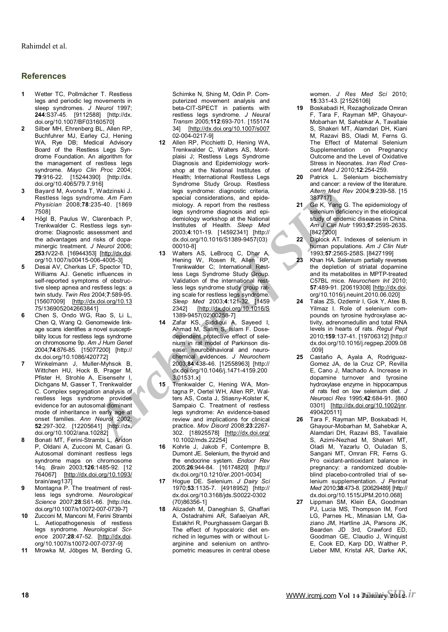#### **R e fe r e nces**

- **1**  Wetter TC, Pollmächer T. Res legs and periodic leg movements in sleep syndromes. *J Neurol* 1997: **<sup>244</sup>**:S37-45. [9112588] [http://dx. doi.org/10.1007/BF03160570]
- $\overline{2}$ Silber MH, Ehrenberg BL, Allen RP, Buchfuhrer MJ, Earley CJ, Hening WA, Rye DB; Medical Advisory Board of the Restless Legs Syndrome Foundation. An algorithm for the management of restless legs syndrome. *Mayo Clin Proc* 2004; **79**:916-22. [ 15244390] [http://dx. doi.org/10.4065/79.7.916]
- **3**  Bayard M, Avonda T, Wadzinski J. Restless legs syndrome. Am Fam *P hys i cian* 20 08;**78**:2 3 5 - 4 0 . [ 1869 750 8]
- **4**  Högl B, Paulus W, Clarenbach P, Trenkwalder C. Restless legs syndrome: Diagnostic assessment and the advantages and risks of dopa minergic treatment. *J Neurol* 2006; **<sup>253</sup>**:IV22-8. [16944353] [http://dx.doi. org/10.1007/s00415-006-4005-3]
- **5**  Desai AV, Cherkas LF, Spector TD, Williams AJ. Genetic influences in self-reported symptoms of obstructive sleep apnea and restless legs: a twin study. *Twin Res* 2004;**7**:589-95. [15607009] [\[http://dx.doi.org/10.13](http://dx.doi.org/10.13) 75 / 1 3 690 5 2 0 4 2 6 6 3 8 4 1]
- **6**  Chen S, Ondo WG, Rao S, Li L, Chen Q, Wang Q. Genomewide linkage scans identifies a novel suscepti bility locus for restless legs syndrome on chromosome 9p. Am J Hum Genet 2004;**74**:876-85. [15077200] [http:// dx.doi.org/10.1086/420772]
- **7**  Winkelmann J, Muller-Myhsok B, Wittchen HU, Hock B, Prager M, Pfister H, Strohle A, Eisensehr I, Dichgans M, Gasser T, Trenkwalder C. Complex segregation analysis of restless legs syndrome provides evidence for an autosomal dominant mode of inheritance in early age at onset families. Ann Neurol 2002; **52**:297-302. [12205641] [http://dx. doi.org/10.1002/ana.10282]
- **8**  Bonati MT, Ferini-Strambi L, Aridon P, Oldani A, Zucconi M, Casari G. Autosomal dominant restless legs syndrome maps on chromosome 1 4 q. *Bra in*  2 0 03; **126**:1485 -92 . [ 12 764067] [http://d[x.doi](http://dx.doi.org/10.1093/).org/10.1093/ b rain / a wg137]
- **9**  Montagna P. The treatment of restless legs syndrome. *Neurological Science* 2007;**28**:S61-66. [http://dx. doi.org/10.1007/s10072-007-0739-7]
- **10**  Zucconi M, Manconi M, Ferini Strambi L. Aetiopathogenesis of res legs syndrome. *Neurological Science 2007;28:47-52.* [http://dx.doi. *ence* 2007;**28**:47-52. [\[http://dx.doi](http://dx.doi). org/10.1007/s10072-007-0737-9]
- **11**  Mrowka M, Jöbges M, Berding G,

Schimke N, Shing M, Odin P. Computerized movement analysis and beta-CIT-SPECT in patients with restless legs syndrome. *<sup>J</sup> Neural Transm* 2005;**112**:693-701. [155174 34] [http://d[x.doi.o](http://dx.doi.org/10.1007/s007)rg/10.1007/s007 02-004-0217-9]

- **12**  Allen RP, Picchietti D, Hening WA, Trenkwalder C, Walters AS, Montplaisi J; Restless Legs Syndrome Diagnosis and Epidemiology work shop at the National Institutes of Health; International Restless Legs Syndrome Study Group. Restless legs syndrome: diagnostic criteria, special considerations, and epide-<br>miology. A report from the restless legs syndrome diagnosis and epidemiology workshop at the National Institutes of Health. *Sleep Med* dx.doi.org/10.1016/S1389-9457(03)<br>00010-81
- F, Wadistrial J. [e](http://dx.doi.org/10.1016/S)gg syndrome: diagnositic criteria, a Meer Mess since the special considerations, and epide-<br>
235-40. [1869 miology Areport from the restless and epide-<br>
Clarenbach P, ess syndrome diagnosis and epide-<br>
2 **13**  Walters AS, LeBrocq C, Dhar A, Hening W, Rosen R, Allen RP, Trenkwalder C; International Restless Legs Syndrome Study Group. Validation of the international rest less legs syndrome study group rating scale for restless legs syndrome.<br>Sleep Med 2003;4:121-32. [1459] 2342] [http://dx.doi.org/10.1016/S 1389-9457(02)00258-7]
	- **14**  Zafar KS, Siddiqui A, Sayeed I, Ahmad M, Salim S, Islam F. Dosedependent protective effect of selenium in rat model of Parkinson dis ease: neurobehavioral and neuro chemical evidences. *J Neurochem* 2003;**84**:438-46. [12558963] [http:// dx.doi.org/10.1046/j.1471-4159.200 3.01531.x]
	- **15**  Trenkwalder C, Hening WA, Montagna P, Oertel WH, Allen RP, Walters AS, Costa J, Stiasny-Kolster K, Sampaio C. Treatment of restless legs syndrome: An evidence-based review and implications for clinical practice. *Mov Disord* 2008;**23**:2267-302. [18925578] [http://dx.doi.org/ 10.1002/mds.22254]
	- **16**  Kohrle J, Jakob F, Contempre B, Dumont JE. Selenium, the thyroid and the endocrine system. *Endocr Rev* 2005;**26**:9 4 4 - 8 4. [ 1617 482 0 ] [ h tt p:// dx.doi.org/10.1210/er.2001-0034]
	- **17**  H ogu e D E. S eleniu m. *J D a iry Sci* 1 970;**53**:1 1 3 5 - 7. [ 4 918 9 5 2 ] [ h t t p:// dx.doi.org/10.3168/jds.S0022-0302 (70) 86356-1]
	- 18 Alizadeh M, Daneghian S, Ghaffari A, Ostadrahimi AR, Safaeiyan AR, Estakhri R, Pourghassem Gargari B. The effect of hypocaloric diet enriched in legumes with or without L- arginine and selenium on anthro pometric measures in central obese

w o m e n. *J R e s M e d Sci* 2 0 1 0; **15**:331-43. [21526106]

- **19**  Boskabadi H, Rezagholizade Omran F, Tara F, Rayman MP, Ghayour-Mobarhan M, Sahebkar A, Tavallaie<br>S, Shakeri MT, Alamdari DH, Kiani<br>M, Razavi BS, Oladi M, Ferns G.<br>The Effect of Maternal Selenium<br>Supplementation on Pregnancy<br>Outcome and the Level of Oxidative<br>Stress in Neonates. Iran R *cent Med J* 2010;**12**:254-259.
- **20**  Patrick L. Selenium biochemistry and cancer: a review of the literature. *A lt e rn M e d Rev* 2 0 04; **9**:239 - 5 8. [ 15 3 8 7 717]
- **21** Ge K, Yang G. The epidemiology of selenium deficiency in the etiological study of endemic diseases in China. *A m J Clin N utr* 1 9 93;**57**:2 5 9 S - 2 6 3 S. [8427200]
- **22**  Diplock AT. Indexes of selenium in human populations. Am J Clin Nutr 1993;**57**:256S-258S. [8427199]
- **23**  Khan HA. Selenium partially reverses the depletion of striatal dopamine and its metabolites in MPTP-treated C57BL mice. Neurochem Int 2010; **57**:489-91. [20619308] [http://d[x.doi](http://dx.doi). org/10.1016/j.neuint.2010.06.020]
- **24**  Talas ZS, Ozdemir I, Gok Y, Ates B, Yilmaz I. Role of selenium compounds on tyrosine hydroxylase ac-<br>tivity, adrenomedullin and total RNA levels in hearts of rats. *Regul Pept* 2010;159:137-41. [19706312] [http:// 2010;**159**:137-41. [19706312] [http:// dx.doi.org/10.1016/j.regpep.2009.08 .009]
- **25**  Castaño A, Ayala A, Rodriguez-Gomez JA, de la Cruz CP, Revilla<br>E, Cano J, Machado A. Increase in<br>dopamine turnover and tyrosine<br>hydroxylase enzyme in hippocampus<br>of rats fed on low selenium diet. J<br>Neurosci Res 1995;42:684-91. [860<br>0301] [http://dx.doi
- **26**  Tara F, Rayman MP, Boskabadi H, Ghayour-Mobarhan M, Sahebkar A, Alamdari DH, Razavi BS, Tavallaie S, Azimi-Nezhad M, Shakeri MT, Oladi M, Yazarlu O, Ouladan S, Sangani MT, Omran FR, Ferns G. Pro oxidant-antioxidant balance in pregnancy: a randomized doubleblind placebo-controlled trial of se-<br>lenium supplementation. J Perinat lenium supplementation. *<sup>J</sup> Perinat Med* 2010;**38**:473-8. [20629489] [http:// dx.doi.org/10.1515/JPM.2010.068]
- 27 Lippman SM, Klein EA, Goodman PJ, Lucia MS, Thompson IM, Ford LG, Parnes HL, Minasian LM, Gaziano JM, Hartline JA, Parsons JK, Bearden JD 3rd, Crawford ED, Goodman GE, Claudio J, Winquist E, Cook ED, Karp DD, Walther P, Lieber MM, Kristal AR, Darke AK,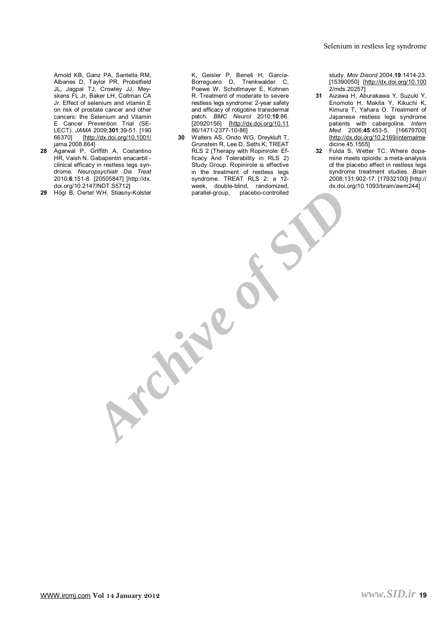Arnold KB, Ganz PA, Santella RM, Albanes D, Taylor PR, Probstfield JL, Jagpal TJ, Crowley JJ, Mey-Jr. Effect of selenium and vitamin E on risk of prostate cancer and other cancers: the Selenium and Vitamin E Cancer Prevention Trial (SE-LECT). *JAMA* 2009;**301**:39-51. [190 66370] [<http://dx.doi.org/10.1001/> jama.2008.864]

- 28 Agarwal P, Griffith A, Costantino HR, Vaish N. Gabapentin enacarbil clinical efficacy in restless legs syndrome. *Neuropsychiatr Dis Treat* 2010;6:151-8. [20505847] [http://dx.
- 29 Högl B, Oertel WH, Stiasny-Kolster

K, Geisler P, Beneš H, García-Borreguero D, Trenkwalder C,<br>Poewe W, Schollmayer E, Kohnen<br>R. Treatment of moderate to severe<br>restless legs syndrome: 2-year safety<br>and efficacy of rotigotine transdermal<br>patch. *BMC Neurol* 2010;10:86.<br>[20920156] [http:/ 86/1471-2377-10-86]

A beneficial property of the contents of the selection of the selection of the selection of the selection of the selection of the selection of the selection of the selection of the selection of the selection of the selecti **30** Walters AS, Ondo WG, Dreykluft T, Grunstein R, Lee D, Sethi K; TREAT RLS 2 (Therapy with Ropinirole: Ef-Study Group. Ropinirole is effective in the treatment of restless legs syndrome. TREAT RLS 2: a 12week, double-blind, randomized, parallel-group, placebo-controlled

study. Mov Disord 2004;19:1414-23. [15390050] [http://d[x.doi.o](http://dx.doi.org/10.100)rg/10.100 2/mds.20257]

- **31** Aizawa H, Aburakawa Y, Suzuki Y, Enomoto H, Makita Y, Kikuchi K, Kimura T, Yahara O. Treatment of Japanese restless legs syndrome patients with cabergoline. Intern Med 2006;45:453-5. [16679700] [http://d[x.doi.o](http://dx.doi.org/10.2169/internalme)rg/10.2169/internalme dicine.45.1555]
- **32** Fulda S, Wetter TC. Where dopaof the placebo effect in restless legs dx.doi.org/10.1093/brain/awm244]

W W W .ir c m j . [com](http://www.ircmj.com) **V o l 14 J a n u**